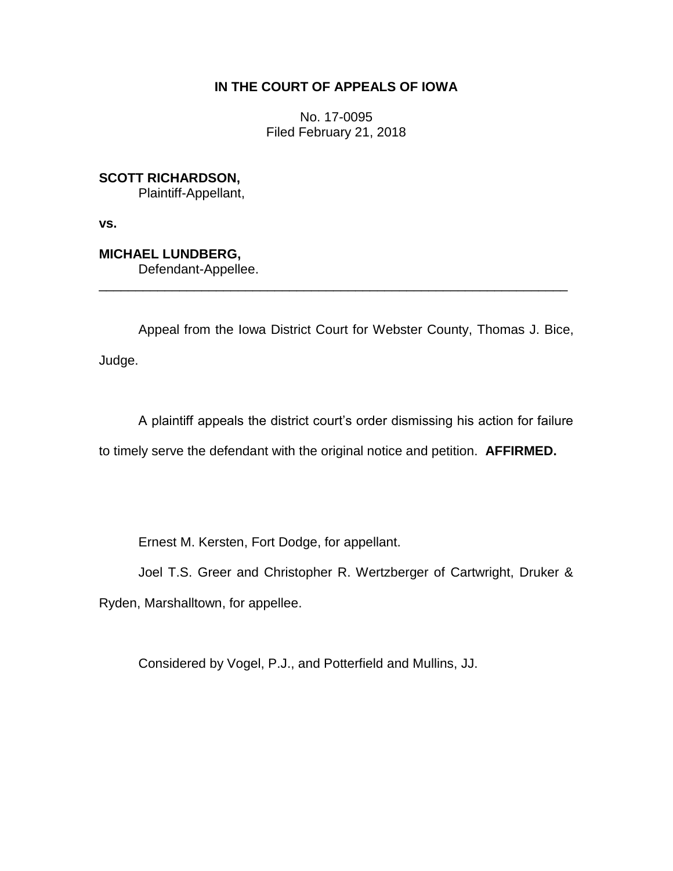## **IN THE COURT OF APPEALS OF IOWA**

No. 17-0095 Filed February 21, 2018

**SCOTT RICHARDSON,**

Plaintiff-Appellant,

**vs.**

**MICHAEL LUNDBERG,**

Defendant-Appellee.

Appeal from the Iowa District Court for Webster County, Thomas J. Bice, Judge.

\_\_\_\_\_\_\_\_\_\_\_\_\_\_\_\_\_\_\_\_\_\_\_\_\_\_\_\_\_\_\_\_\_\_\_\_\_\_\_\_\_\_\_\_\_\_\_\_\_\_\_\_\_\_\_\_\_\_\_\_\_\_\_\_

A plaintiff appeals the district court's order dismissing his action for failure to timely serve the defendant with the original notice and petition. **AFFIRMED.**

Ernest M. Kersten, Fort Dodge, for appellant.

Joel T.S. Greer and Christopher R. Wertzberger of Cartwright, Druker &

Ryden, Marshalltown, for appellee.

Considered by Vogel, P.J., and Potterfield and Mullins, JJ.